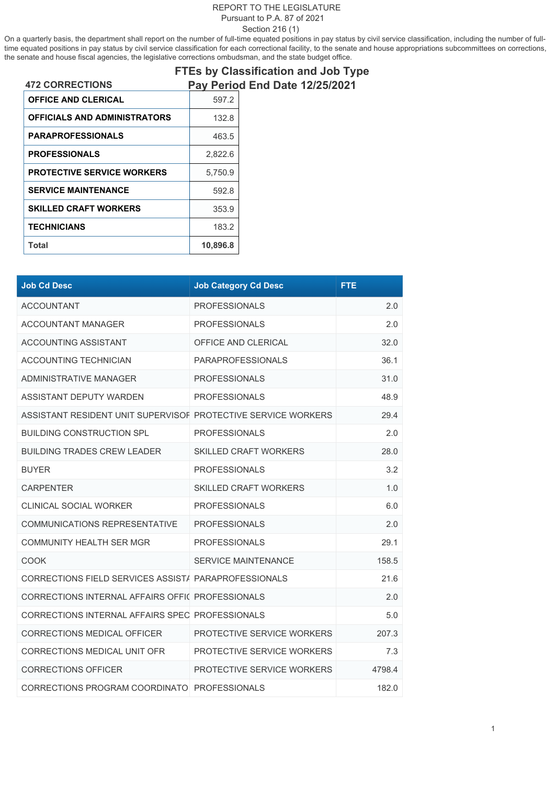## REPORT TO THE LEGISLATURE Pursuant to P.A. 87 of 2021

Section 216 (1)

On a quarterly basis, the department shall report on the number of full-time equated positions in pay status by civil service classification, including the number of fulltime equated positions in pay status by civil service classification for each correctional facility, to the senate and house appropriations subcommittees on corrections, the senate and house fiscal agencies, the legislative corrections ombudsman, and the state budget office.

|                                     |          | <b>FTEs by Classification and Job Type</b> |
|-------------------------------------|----------|--------------------------------------------|
| <b>472 CORRECTIONS</b>              |          | Pay Period End Date 12/25/2021             |
| <b>OFFICE AND CLERICAL</b>          | 597.2    |                                            |
| <b>OFFICIALS AND ADMINISTRATORS</b> | 132.8    |                                            |
| <b>PARAPROFESSIONALS</b>            | 463.5    |                                            |
| <b>PROFESSIONALS</b>                | 2,822.6  |                                            |
| <b>PROTECTIVE SERVICE WORKERS</b>   | 5.750.9  |                                            |
| <b>SERVICE MAINTENANCE</b>          | 592.8    |                                            |
| <b>SKILLED CRAFT WORKERS</b>        | 353.9    |                                            |
| <b>TECHNICIANS</b>                  | 183.2    |                                            |
| Total                               | 10,896.8 |                                            |

| <b>Job Cd Desc</b>                                            | <b>Job Category Cd Desc</b>  | FTE.   |
|---------------------------------------------------------------|------------------------------|--------|
| <b>ACCOUNTANT</b>                                             | <b>PROFESSIONALS</b>         | 2.0    |
| <b>ACCOUNTANT MANAGER</b>                                     | <b>PROFESSIONALS</b>         | 2.0    |
| <b>ACCOUNTING ASSISTANT</b>                                   | OFFICE AND CLERICAL          | 32.0   |
| <b>ACCOUNTING TECHNICIAN</b>                                  | <b>PARAPROFESSIONALS</b>     | 36.1   |
| <b>ADMINISTRATIVE MANAGER</b>                                 | <b>PROFESSIONALS</b>         | 31.0   |
| ASSISTANT DEPUTY WARDEN                                       | <b>PROFESSIONALS</b>         | 48.9   |
| ASSISTANT RESIDENT UNIT SUPERVISOF PROTECTIVE SERVICE WORKERS |                              | 29.4   |
| <b>BUILDING CONSTRUCTION SPL</b>                              | <b>PROFESSIONALS</b>         | 2.0    |
| <b>BUILDING TRADES CREW LEADER</b>                            | <b>SKILLED CRAFT WORKERS</b> | 28.0   |
| <b>BUYER</b>                                                  | <b>PROFESSIONALS</b>         | 3.2    |
| <b>CARPENTER</b>                                              | <b>SKILLED CRAFT WORKERS</b> | 1.0    |
| <b>CLINICAL SOCIAL WORKER</b>                                 | <b>PROFESSIONALS</b>         | 6.0    |
| COMMUNICATIONS REPRESENTATIVE                                 | <b>PROFESSIONALS</b>         | 2.0    |
| <b>COMMUNITY HEALTH SER MGR</b>                               | <b>PROFESSIONALS</b>         | 29.1   |
| <b>COOK</b>                                                   | <b>SERVICE MAINTENANCE</b>   | 158.5  |
| CORRECTIONS FIELD SERVICES ASSIST/ PARAPROFESSIONALS          |                              | 21.6   |
| CORRECTIONS INTERNAL AFFAIRS OFFIC PROFESSIONALS              |                              | 2.0    |
| CORRECTIONS INTERNAL AFFAIRS SPEC PROFESSIONALS               |                              | 5.0    |
| CORRECTIONS MEDICAL OFFICER                                   | PROTECTIVE SERVICE WORKERS   | 207.3  |
| CORRECTIONS MEDICAL UNIT OFR                                  | PROTECTIVE SERVICE WORKERS   | 7.3    |
| <b>CORRECTIONS OFFICER</b>                                    | PROTECTIVE SERVICE WORKERS   | 4798.4 |
| CORRECTIONS PROGRAM COORDINATO PROFESSIONALS                  |                              | 182.0  |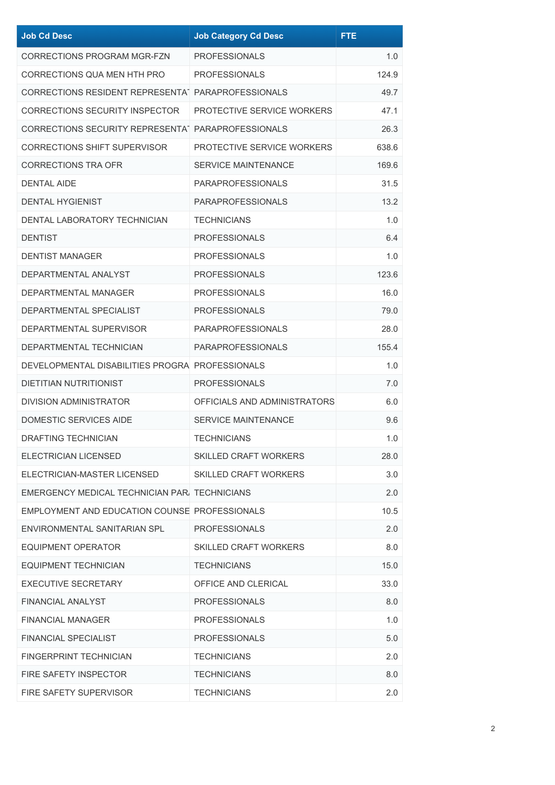| <b>Job Cd Desc</b>                                 | <b>Job Category Cd Desc</b>  | <b>FTE</b> |
|----------------------------------------------------|------------------------------|------------|
| <b>CORRECTIONS PROGRAM MGR-FZN</b>                 | <b>PROFESSIONALS</b>         | 1.0        |
| CORRECTIONS QUA MEN HTH PRO                        | <b>PROFESSIONALS</b>         | 124.9      |
| CORRECTIONS RESIDENT REPRESENTAT PARAPROFESSIONALS |                              | 49.7       |
| CORRECTIONS SECURITY INSPECTOR                     | PROTECTIVE SERVICE WORKERS   | 47.1       |
| CORRECTIONS SECURITY REPRESENTAT PARAPROFESSIONALS |                              | 26.3       |
| <b>CORRECTIONS SHIFT SUPERVISOR</b>                | PROTECTIVE SERVICE WORKERS   | 638.6      |
| <b>CORRECTIONS TRA OFR</b>                         | <b>SERVICE MAINTENANCE</b>   | 169.6      |
| <b>DENTAL AIDE</b>                                 | <b>PARAPROFESSIONALS</b>     | 31.5       |
| <b>DENTAL HYGIENIST</b>                            | <b>PARAPROFESSIONALS</b>     | 13.2       |
| DENTAL LABORATORY TECHNICIAN                       | <b>TECHNICIANS</b>           | 1.0        |
| <b>DENTIST</b>                                     | <b>PROFESSIONALS</b>         | 6.4        |
| <b>DENTIST MANAGER</b>                             | <b>PROFESSIONALS</b>         | 1.0        |
| DEPARTMENTAL ANALYST                               | <b>PROFESSIONALS</b>         | 123.6      |
| DEPARTMENTAL MANAGER                               | <b>PROFESSIONALS</b>         | 16.0       |
| DEPARTMENTAL SPECIALIST                            | <b>PROFESSIONALS</b>         | 79.0       |
| DEPARTMENTAL SUPERVISOR                            | <b>PARAPROFESSIONALS</b>     | 28.0       |
| DEPARTMENTAL TECHNICIAN                            | <b>PARAPROFESSIONALS</b>     | 155.4      |
| DEVELOPMENTAL DISABILITIES PROGRA PROFESSIONALS    |                              | 1.0        |
| <b>DIETITIAN NUTRITIONIST</b>                      | <b>PROFESSIONALS</b>         | 7.0        |
| <b>DIVISION ADMINISTRATOR</b>                      | OFFICIALS AND ADMINISTRATORS | 6.0        |
| <b>DOMESTIC SERVICES AIDE</b>                      | <b>SERVICE MAINTENANCE</b>   | 9.6        |
| <b>DRAFTING TECHNICIAN</b>                         | <b>TECHNICIANS</b>           | 1.0        |
| ELECTRICIAN LICENSED                               | <b>SKILLED CRAFT WORKERS</b> | 28.0       |
| ELECTRICIAN-MASTER LICENSED                        | <b>SKILLED CRAFT WORKERS</b> | 3.0        |
| EMERGENCY MEDICAL TECHNICIAN PAR. TECHNICIANS      |                              | 2.0        |
| EMPLOYMENT AND EDUCATION COUNSE PROFESSIONALS      |                              | 10.5       |
| ENVIRONMENTAL SANITARIAN SPL                       | <b>PROFESSIONALS</b>         | 2.0        |
| EQUIPMENT OPERATOR                                 | <b>SKILLED CRAFT WORKERS</b> | 8.0        |
| <b>EQUIPMENT TECHNICIAN</b>                        | <b>TECHNICIANS</b>           | 15.0       |
| <b>EXECUTIVE SECRETARY</b>                         | OFFICE AND CLERICAL          | 33.0       |
| <b>FINANCIAL ANALYST</b>                           | <b>PROFESSIONALS</b>         | 8.0        |
| <b>FINANCIAL MANAGER</b>                           | <b>PROFESSIONALS</b>         | 1.0        |
| <b>FINANCIAL SPECIALIST</b>                        | <b>PROFESSIONALS</b>         | 5.0        |
| <b>FINGERPRINT TECHNICIAN</b>                      | <b>TECHNICIANS</b>           | 2.0        |
| FIRE SAFETY INSPECTOR                              | <b>TECHNICIANS</b>           | 8.0        |
| FIRE SAFETY SUPERVISOR                             | <b>TECHNICIANS</b>           | 2.0        |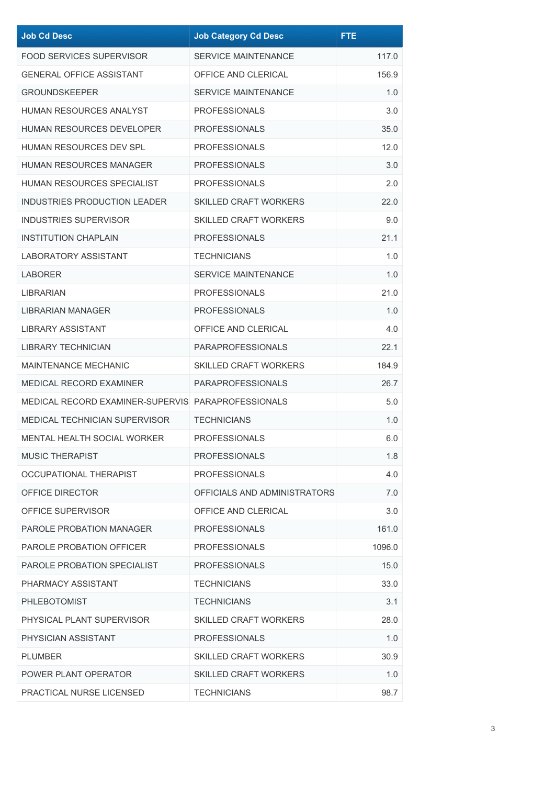| <b>Job Cd Desc</b>                                 | <b>Job Category Cd Desc</b>  | <b>FTE</b> |
|----------------------------------------------------|------------------------------|------------|
| <b>FOOD SERVICES SUPERVISOR</b>                    | <b>SERVICE MAINTENANCE</b>   | 117.0      |
| <b>GENERAL OFFICE ASSISTANT</b>                    | OFFICE AND CLERICAL          | 156.9      |
| <b>GROUNDSKEEPER</b>                               | <b>SERVICE MAINTENANCE</b>   | 1.0        |
| <b>HUMAN RESOURCES ANALYST</b>                     | <b>PROFESSIONALS</b>         | 3.0        |
| <b>HUMAN RESOURCES DEVELOPER</b>                   | <b>PROFESSIONALS</b>         | 35.0       |
| HUMAN RESOURCES DEV SPL                            | <b>PROFESSIONALS</b>         | 12.0       |
| HUMAN RESOURCES MANAGER                            | <b>PROFESSIONALS</b>         | 3.0        |
| HUMAN RESOURCES SPECIALIST                         | <b>PROFESSIONALS</b>         | 2.0        |
| <b>INDUSTRIES PRODUCTION LEADER</b>                | <b>SKILLED CRAFT WORKERS</b> | 22.0       |
| <b>INDUSTRIES SUPERVISOR</b>                       | <b>SKILLED CRAFT WORKERS</b> | 9.0        |
| <b>INSTITUTION CHAPLAIN</b>                        | <b>PROFESSIONALS</b>         | 21.1       |
| <b>LABORATORY ASSISTANT</b>                        | <b>TECHNICIANS</b>           | 1.0        |
| LABORER                                            | <b>SERVICE MAINTENANCE</b>   | 1.0        |
| LIBRARIAN                                          | <b>PROFESSIONALS</b>         | 21.0       |
| LIBRARIAN MANAGER                                  | <b>PROFESSIONALS</b>         | 1.0        |
| <b>LIBRARY ASSISTANT</b>                           | OFFICE AND CLERICAL          | 4.0        |
| <b>LIBRARY TECHNICIAN</b>                          | <b>PARAPROFESSIONALS</b>     | 22.1       |
| <b>MAINTENANCE MECHANIC</b>                        | <b>SKILLED CRAFT WORKERS</b> | 184.9      |
| <b>MEDICAL RECORD EXAMINER</b>                     | <b>PARAPROFESSIONALS</b>     | 26.7       |
| MEDICAL RECORD EXAMINER-SUPERVIS PARAPROFESSIONALS |                              | 5.0        |
| <b>MEDICAL TECHNICIAN SUPERVISOR</b>               | <b>TECHNICIANS</b>           | 1.0        |
| <b>MENTAL HEALTH SOCIAL WORKER</b>                 | <b>PROFESSIONALS</b>         | 6.0        |
| <b>MUSIC THERAPIST</b>                             | <b>PROFESSIONALS</b>         | 1.8        |
| OCCUPATIONAL THERAPIST                             | <b>PROFESSIONALS</b>         | 4.0        |
| OFFICE DIRECTOR                                    | OFFICIALS AND ADMINISTRATORS | 7.0        |
| OFFICE SUPERVISOR                                  | OFFICE AND CLERICAL          | 3.0        |
| <b>PAROLE PROBATION MANAGER</b>                    | <b>PROFESSIONALS</b>         | 161.0      |
| PAROLE PROBATION OFFICER                           | <b>PROFESSIONALS</b>         | 1096.0     |
| PAROLE PROBATION SPECIALIST                        | <b>PROFESSIONALS</b>         | 15.0       |
| PHARMACY ASSISTANT                                 | <b>TECHNICIANS</b>           | 33.0       |
| <b>PHLEBOTOMIST</b>                                | <b>TECHNICIANS</b>           | 3.1        |
| PHYSICAL PLANT SUPERVISOR                          | <b>SKILLED CRAFT WORKERS</b> | 28.0       |
| PHYSICIAN ASSISTANT                                | <b>PROFESSIONALS</b>         | 1.0        |
| PLUMBER                                            | <b>SKILLED CRAFT WORKERS</b> | 30.9       |
| POWER PLANT OPERATOR                               | <b>SKILLED CRAFT WORKERS</b> | 1.0        |
| PRACTICAL NURSE LICENSED                           | <b>TECHNICIANS</b>           | 98.7       |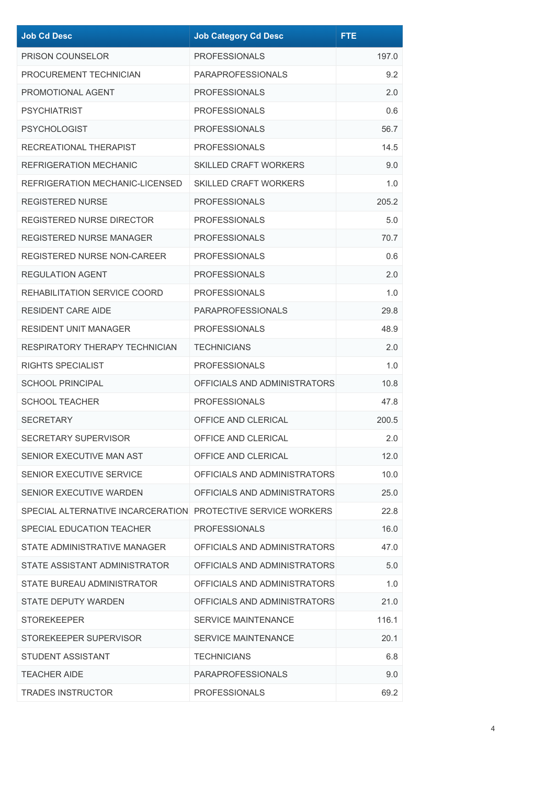| <b>Job Cd Desc</b>                                           | <b>Job Category Cd Desc</b>  | <b>FTE</b> |
|--------------------------------------------------------------|------------------------------|------------|
| PRISON COUNSELOR                                             | <b>PROFESSIONALS</b>         | 197.0      |
| PROCUREMENT TECHNICIAN                                       | <b>PARAPROFESSIONALS</b>     | 9.2        |
| PROMOTIONAL AGENT                                            | <b>PROFESSIONALS</b>         | 2.0        |
| <b>PSYCHIATRIST</b>                                          | <b>PROFESSIONALS</b>         | 0.6        |
| <b>PSYCHOLOGIST</b>                                          | <b>PROFESSIONALS</b>         | 56.7       |
| RECREATIONAL THERAPIST                                       | <b>PROFESSIONALS</b>         | 14.5       |
| <b>REFRIGERATION MECHANIC</b>                                | <b>SKILLED CRAFT WORKERS</b> | 9.0        |
| REFRIGERATION MECHANIC-LICENSED                              | <b>SKILLED CRAFT WORKERS</b> | 1.0        |
| REGISTERED NURSE                                             | <b>PROFESSIONALS</b>         | 205.2      |
| <b>REGISTERED NURSE DIRECTOR</b>                             | <b>PROFESSIONALS</b>         | 5.0        |
| <b>REGISTERED NURSE MANAGER</b>                              | <b>PROFESSIONALS</b>         | 70.7       |
| <b>REGISTERED NURSE NON-CAREER</b>                           | <b>PROFESSIONALS</b>         | 0.6        |
| <b>REGULATION AGENT</b>                                      | <b>PROFESSIONALS</b>         | 2.0        |
| REHABILITATION SERVICE COORD                                 | <b>PROFESSIONALS</b>         | 1.0        |
| <b>RESIDENT CARE AIDE</b>                                    | <b>PARAPROFESSIONALS</b>     | 29.8       |
| <b>RESIDENT UNIT MANAGER</b>                                 | <b>PROFESSIONALS</b>         | 48.9       |
| RESPIRATORY THERAPY TECHNICIAN                               | <b>TECHNICIANS</b>           | 2.0        |
| RIGHTS SPECIALIST                                            | <b>PROFESSIONALS</b>         | 1.0        |
| <b>SCHOOL PRINCIPAL</b>                                      | OFFICIALS AND ADMINISTRATORS | 10.8       |
| <b>SCHOOL TEACHER</b>                                        | <b>PROFESSIONALS</b>         | 47.8       |
| <b>SECRETARY</b>                                             | OFFICE AND CLERICAL          | 200.5      |
| <b>SECRETARY SUPERVISOR</b>                                  | OFFICE AND CLERICAL          | 2.0        |
| SENIOR EXECUTIVE MAN AST                                     | OFFICE AND CLERICAL          | 12.0       |
| SENIOR EXECUTIVE SERVICE                                     | OFFICIALS AND ADMINISTRATORS | 10.0       |
| SENIOR EXECUTIVE WARDEN                                      | OFFICIALS AND ADMINISTRATORS | 25.0       |
| SPECIAL ALTERNATIVE INCARCERATION PROTECTIVE SERVICE WORKERS |                              | 22.8       |
| SPECIAL EDUCATION TEACHER                                    | <b>PROFESSIONALS</b>         | 16.0       |
| STATE ADMINISTRATIVE MANAGER                                 | OFFICIALS AND ADMINISTRATORS | 47.0       |
| STATE ASSISTANT ADMINISTRATOR                                | OFFICIALS AND ADMINISTRATORS | 5.0        |
| STATE BUREAU ADMINISTRATOR                                   | OFFICIALS AND ADMINISTRATORS | 1.0        |
| <b>STATE DEPUTY WARDEN</b>                                   | OFFICIALS AND ADMINISTRATORS | 21.0       |
| <b>STOREKEEPER</b>                                           | <b>SERVICE MAINTENANCE</b>   | 116.1      |
| STOREKEEPER SUPERVISOR                                       | <b>SERVICE MAINTENANCE</b>   | 20.1       |
| <b>STUDENT ASSISTANT</b>                                     | <b>TECHNICIANS</b>           | 6.8        |
| TEACHER AIDE                                                 | <b>PARAPROFESSIONALS</b>     | 9.0        |
| <b>TRADES INSTRUCTOR</b>                                     | <b>PROFESSIONALS</b>         | 69.2       |